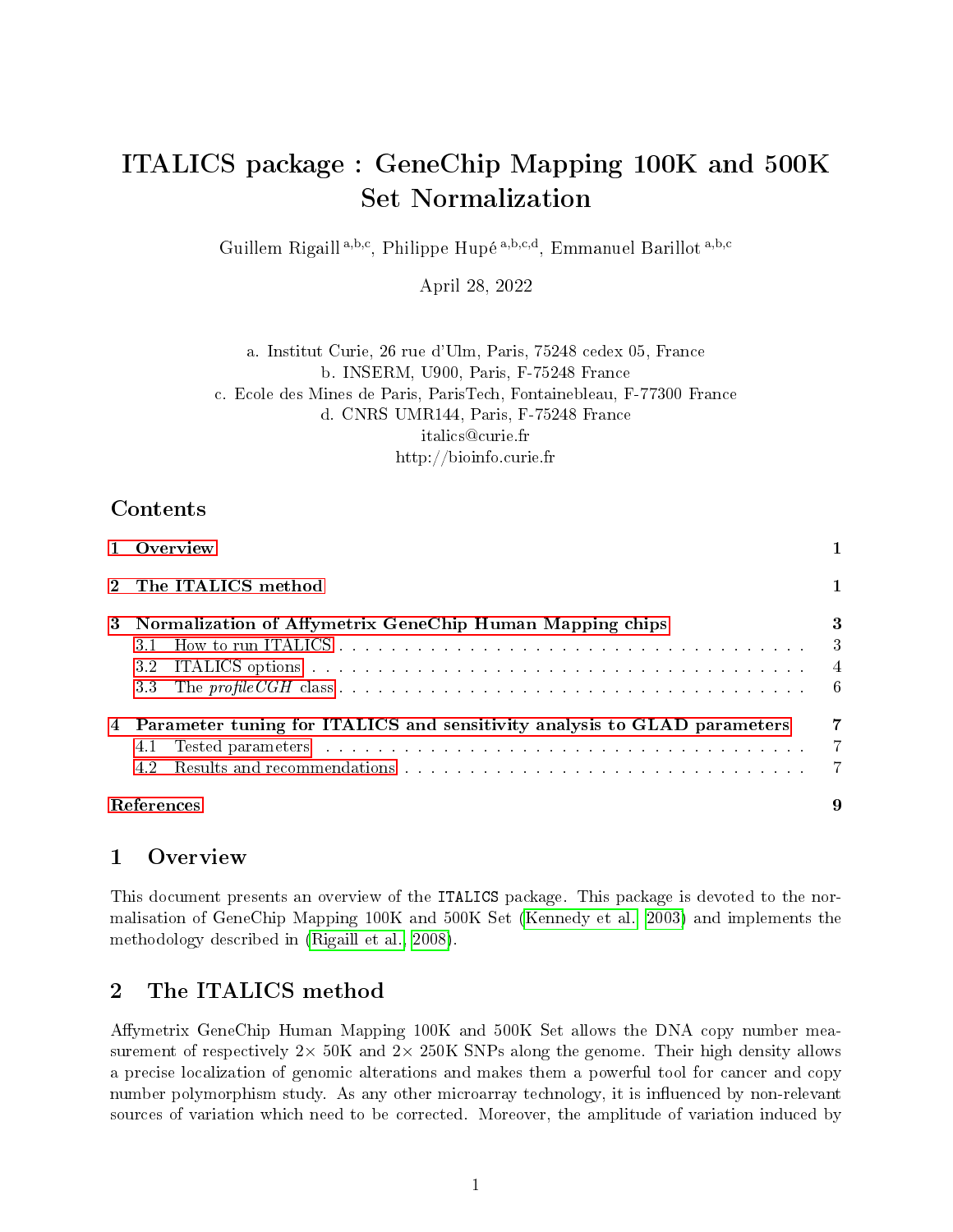# ITALICS package : GeneChip Mapping 100K and 500K Set Normalization

Guillem Rigaill<sup>a,b,c</sup>, Philippe Hupé<sup>a,b,c,d</sup>, Emmanuel Barillot<sup>a,b,c</sup>

April 28, 2022

a. Institut Curie, 26 rue d'Ulm, Paris, 75248 cedex 05, France b. INSERM, U900, Paris, F-75248 France c. Ecole des Mines de Paris, ParisTech, Fontainebleau, F-77300 France d. CNRS UMR144, Paris, F-75248 France italics@curie.fr http://bioinfo.curie.fr

# Contents

| 1 Overview                                                                                                                                                                                                                            | 1.                            |
|---------------------------------------------------------------------------------------------------------------------------------------------------------------------------------------------------------------------------------------|-------------------------------|
| 2 The ITALICS method                                                                                                                                                                                                                  | $\mathbf{1}$                  |
| 3 Normalization of Affymetrix GeneChip Human Mapping chips                                                                                                                                                                            | 3<br>$\overline{\phantom{a}}$ |
| ITALICS options the contract of the contract of the contract of the contract of the contract of the contract of the contract of the contract of the contract of the contract of the contract of the contract of the contract o<br>3.2 |                               |
| 4 Parameter tuning for ITALICS and sensitivity analysis to GLAD parameters<br>4.1<br>4.2                                                                                                                                              | 7<br>-7                       |
| References                                                                                                                                                                                                                            |                               |

### <span id="page-0-0"></span>1 Overview

This document presents an overview of the ITALICS package. This package is devoted to the normalisation of GeneChip Mapping 100K and 500K Set [\(Kennedy et al., 2003\)](#page-8-0) and implements the methodology described in [\(Rigaill et al., 2008\)](#page-8-1).

# <span id="page-0-1"></span>2 The ITALICS method

Affymetrix GeneChip Human Mapping 100K and 500K Set allows the DNA copy number measurement of respectively  $2 \times 50$ K and  $2 \times 250$ K SNPs along the genome. Their high density allows a precise localization of genomic alterations and makes them a powerful tool for cancer and copy number polymorphism study. As any other microarray technology, it is influenced by non-relevant sources of variation which need to be corrected. Moreover, the amplitude of variation induced by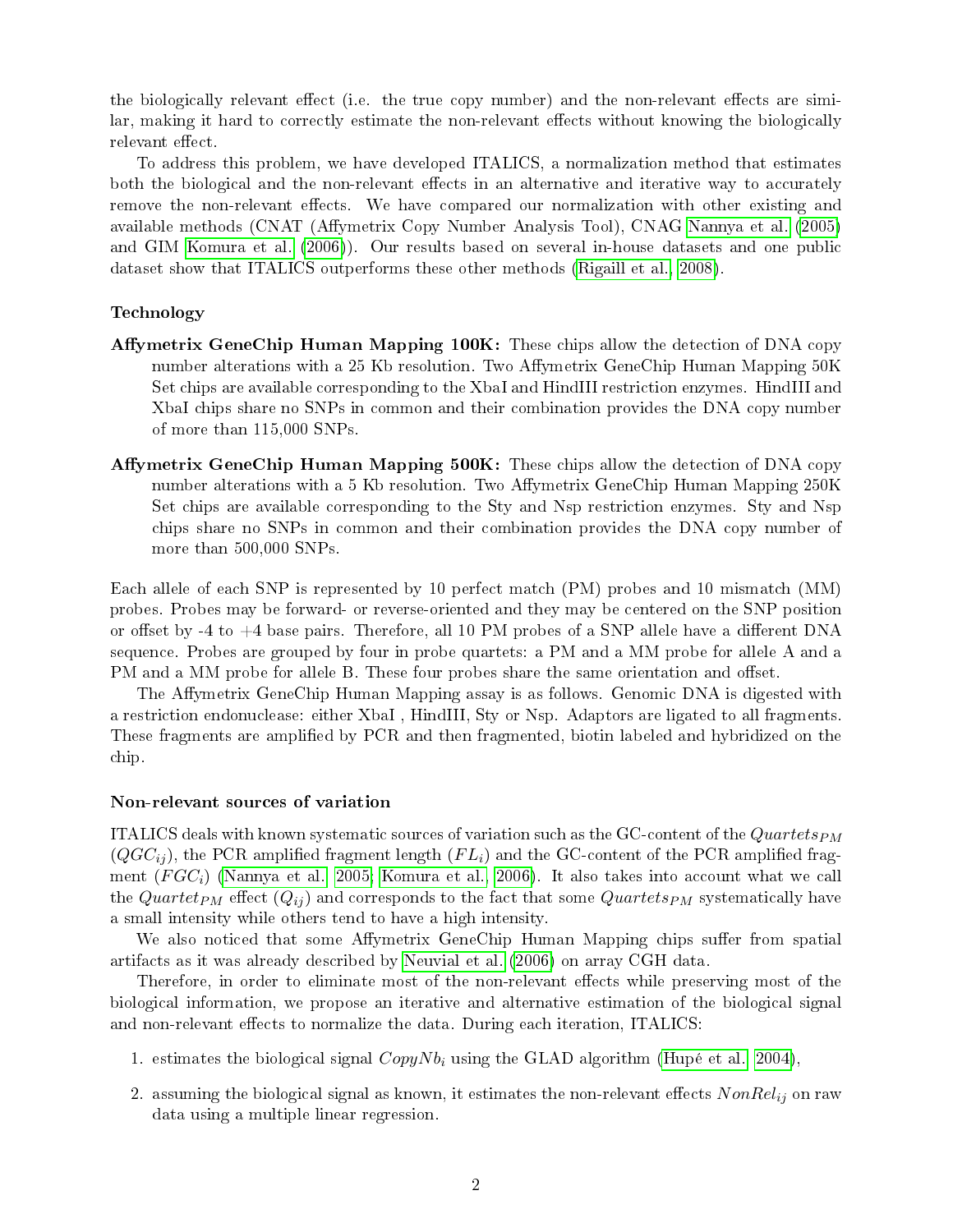the biologically relevant effect (i.e. the true copy number) and the non-relevant effects are similar, making it hard to correctly estimate the non-relevant effects without knowing the biologically relevant effect

To address this problem, we have developed ITALICS, a normalization method that estimates both the biological and the non-relevant effects in an alternative and iterative way to accurately remove the non-relevant effects. We have compared our normalization with other existing and available methods (CNAT (Affymetrix Copy Number Analysis Tool), CNAG [Nannya et al.](#page-8-2) [\(2005\)](#page-8-2) and GIM [Komura et al.](#page-8-3) [\(2006\)](#page-8-3)). Our results based on several in-house datasets and one public dataset show that ITALICS outperforms these other methods [\(Rigaill et al., 2008\)](#page-8-1).

#### Technology

- Affymetrix GeneChip Human Mapping  $100K$ : These chips allow the detection of DNA copy number alterations with a 25 Kb resolution. Two Affymetrix GeneChip Human Mapping  $50K$ Set chips are available corresponding to the XbaI and HindIII restriction enzymes. HindIII and XbaI chips share no SNPs in common and their combination provides the DNA copy number of more than 115,000 SNPs.
- Affymetrix GeneChip Human Mapping 500K: These chips allow the detection of DNA copy number alterations with a 5 Kb resolution. Two Affymetrix GeneChip Human Mapping 250K Set chips are available corresponding to the Sty and Nsp restriction enzymes. Sty and Nsp chips share no SNPs in common and their combination provides the DNA copy number of more than 500,000 SNPs.

Each allele of each SNP is represented by 10 perfect match (PM) probes and 10 mismatch (MM) probes. Probes may be forward- or reverse-oriented and they may be centered on the SNP position or offset by -4 to  $+4$  base pairs. Therefore, all 10 PM probes of a SNP allele have a different DNA sequence. Probes are grouped by four in probe quartets: a PM and a MM probe for allele A and a PM and a MM probe for allele B. These four probes share the same orientation and offset.

The Affymetrix GeneChip Human Mapping assay is as follows. Genomic DNA is digested with a restriction endonuclease: either XbaI , HindIII, Sty or Nsp. Adaptors are ligated to all fragments. These fragments are amplified by PCR and then fragmented, biotin labeled and hybridized on the chip.

#### Non-relevant sources of variation

ITALICS deals with known systematic sources of variation such as the GC-content of the  $Quartets_{PM}$  $(QGC_{ii})$ , the PCR amplified fragment length  $(FL_i)$  and the GC-content of the PCR amplified fragment  $(FGC_i)$  [\(Nannya et al., 2005;](#page-8-2) [Komura et al., 2006\)](#page-8-3). It also takes into account what we call the Quartet<sub>PM</sub> effect  $(Q_{ij})$  and corresponds to the fact that some Quartets<sub>PM</sub> systematically have a small intensity while others tend to have a high intensity.

We also noticed that some Affymetrix GeneChip Human Mapping chips suffer from spatial artifacts as it was already described by [Neuvial et al.](#page-8-4) [\(2006\)](#page-8-4) on array CGH data.

Therefore, in order to eliminate most of the non-relevant effects while preserving most of the biological information, we propose an iterative and alternative estimation of the biological signal and non-relevant effects to normalize the data. During each iteration, ITALICS:

- 1. estimates the biological signal  $CopyNb<sub>i</sub>$  using the GLAD algorithm [\(Hupé et al., 2004\)](#page-8-5),
- 2. assuming the biological signal as known, it estimates the non-relevant effects  $NonRel_{ij}$  on raw data using a multiple linear regression.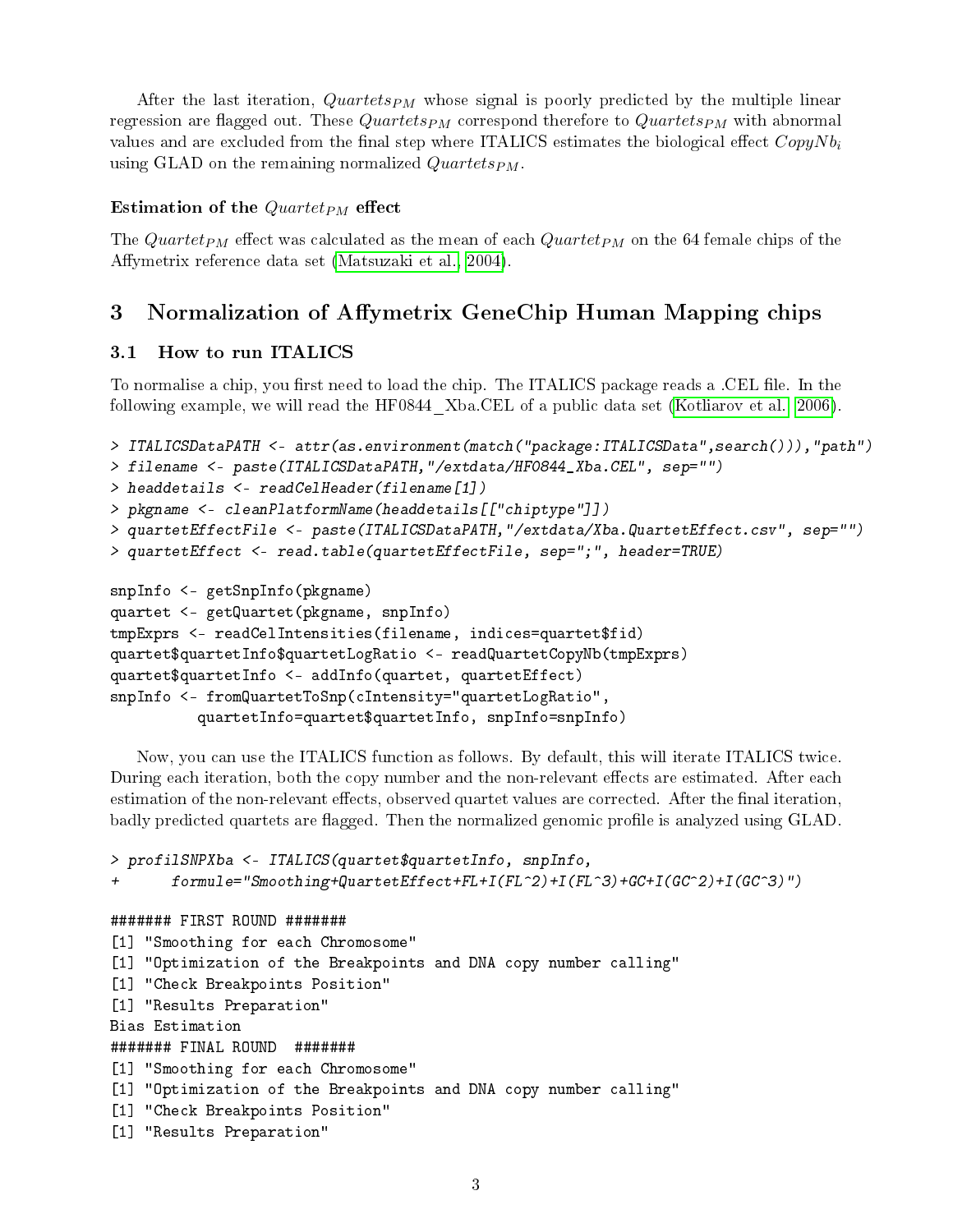After the last iteration,  $Quartets_{PM}$  whose signal is poorly predicted by the multiple linear regression are flagged out. These Quartets<sub>PM</sub> correspond therefore to Quartets<sub>PM</sub> with abnormal values and are excluded from the final step where ITALICS estimates the biological effect  $CopyNb<sub>i</sub>$ using GLAD on the remaining normalized  $Quartets_{PM}$ .

#### Estimation of the  $Quartet_{PM}$  effect

The Quartet<sub>PM</sub> effect was calculated as the mean of each Quartet<sub>PM</sub> on the 64 female chips of the Affymetrix reference data set [\(Matsuzaki et al., 2004\)](#page-8-6).

# <span id="page-2-0"></span>3 Normalization of Affymetrix GeneChip Human Mapping chips

#### <span id="page-2-1"></span>3.1 How to run ITALICS

To normalise a chip, you first need to load the chip. The ITALICS package reads a .CEL file. In the following example, we will read the HF0844\_Xba.CEL of a public data set [\(Kotliarov et al., 2006\)](#page-8-7).

```
> ITALICSDataPATH <- attr(as.environment(match("package:ITALICSData",search())),"path")
> filename <- paste(ITALICSDataPATH,"/extdata/HF0844_Xba.CEL", sep="")
> headdetails <- readCelHeader(filename[1])
> pkgname <- cleanPlatformName(headdetails[["chiptype"]])
> quartetEffectFile <- paste(ITALICSDataPATH,"/extdata/Xba.QuartetEffect.csv", sep="")
> quartetEffect <- read.table(quartetEffectFile, sep=";", header=TRUE)
snpInfo <- getSnpInfo(pkgname)
quartet <- getQuartet(pkgname, snpInfo)
tmpExprs <- readCelIntensities(filename, indices=quartet$fid)
quartet$quartetInfo$quartetLogRatio <- readQuartetCopyNb(tmpExprs)
quartet$quartetInfo <- addInfo(quartet, quartetEffect)
snpInfo <- fromQuartetToSnp(cIntensity="quartetLogRatio",
          quartetInfo=quartet$quartetInfo, snpInfo=snpInfo)
```
Now, you can use the ITALICS function as follows. By default, this will iterate ITALICS twice. During each iteration, both the copy number and the non-relevant effects are estimated. After each estimation of the non-relevant effects, observed quartet values are corrected. After the final iteration, badly predicted quartets are flagged. Then the normalized genomic profile is analyzed using GLAD.

```
> profilSNPXba <- ITALICS(quartet$quartetInfo, snpInfo,
+ formule="Smoothing+QuartetEffect+FL+I(FL^2)+I(FL^3)+GC+I(GC^2)+I(GC^3)")
####### FIRST ROUND #######
[1] "Smoothing for each Chromosome"
[1] "Optimization of the Breakpoints and DNA copy number calling"
[1] "Check Breakpoints Position"
[1] "Results Preparation"
Bias Estimation
####### FINAL ROUND #######
[1] "Smoothing for each Chromosome"
[1] "Optimization of the Breakpoints and DNA copy number calling"
[1] "Check Breakpoints Position"
[1] "Results Preparation"
```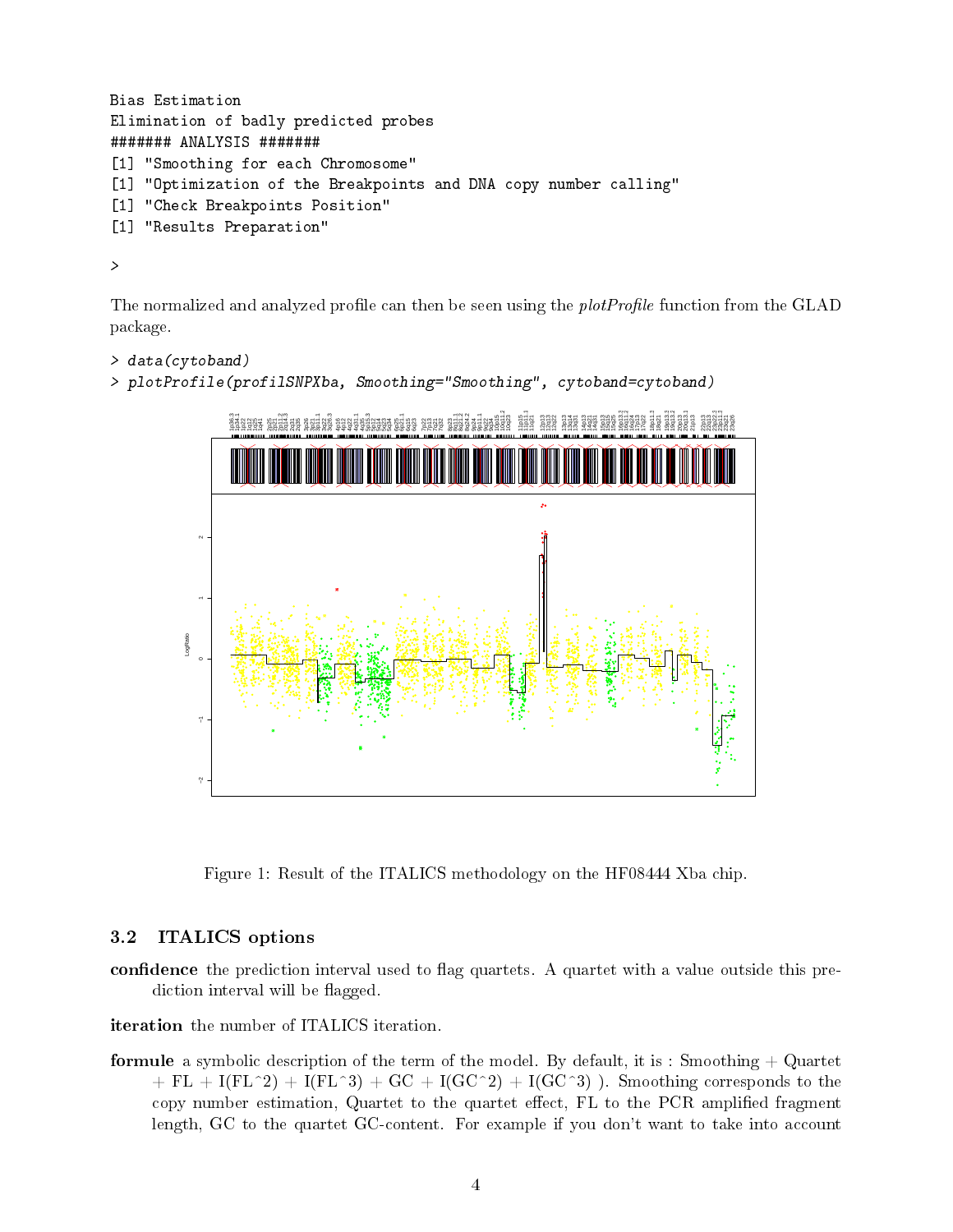```
Bias Estimation
Elimination of badly predicted probes
####### ANALYSIS #######
[1] "Smoothing for each Chromosome"
[1] "Optimization of the Breakpoints and DNA copy number calling"
[1] "Check Breakpoints Position"
[1] "Results Preparation"
```
The normalized and analyzed profile can then be seen using the *plotProfile* function from the GLAD package.

```
> data(cytoband)
> plotProfile(profilSNPXba, Smoothing="Smoothing", cytoband=cytoband)
```


Figure 1: Result of the ITALICS methodology on the HF08444 Xba chip.

### <span id="page-3-0"></span>3.2 ITALICS options

>

confidence the prediction interval used to flag quartets. A quartet with a value outside this prediction interval will be flagged.

iteration the number of ITALICS iteration.

formule a symbolic description of the term of the model. By default, it is : Smoothing  $+$  Quartet  $+ FL + I(FL^2) + I(FL^3) + GC + I(GC^2) + I(GC^3)$  ). Smoothing corresponds to the copy number estimation, Quartet to the quartet effect, FL to the PCR amplified fragment length, GC to the quartet GC-content. For example if you don't want to take into account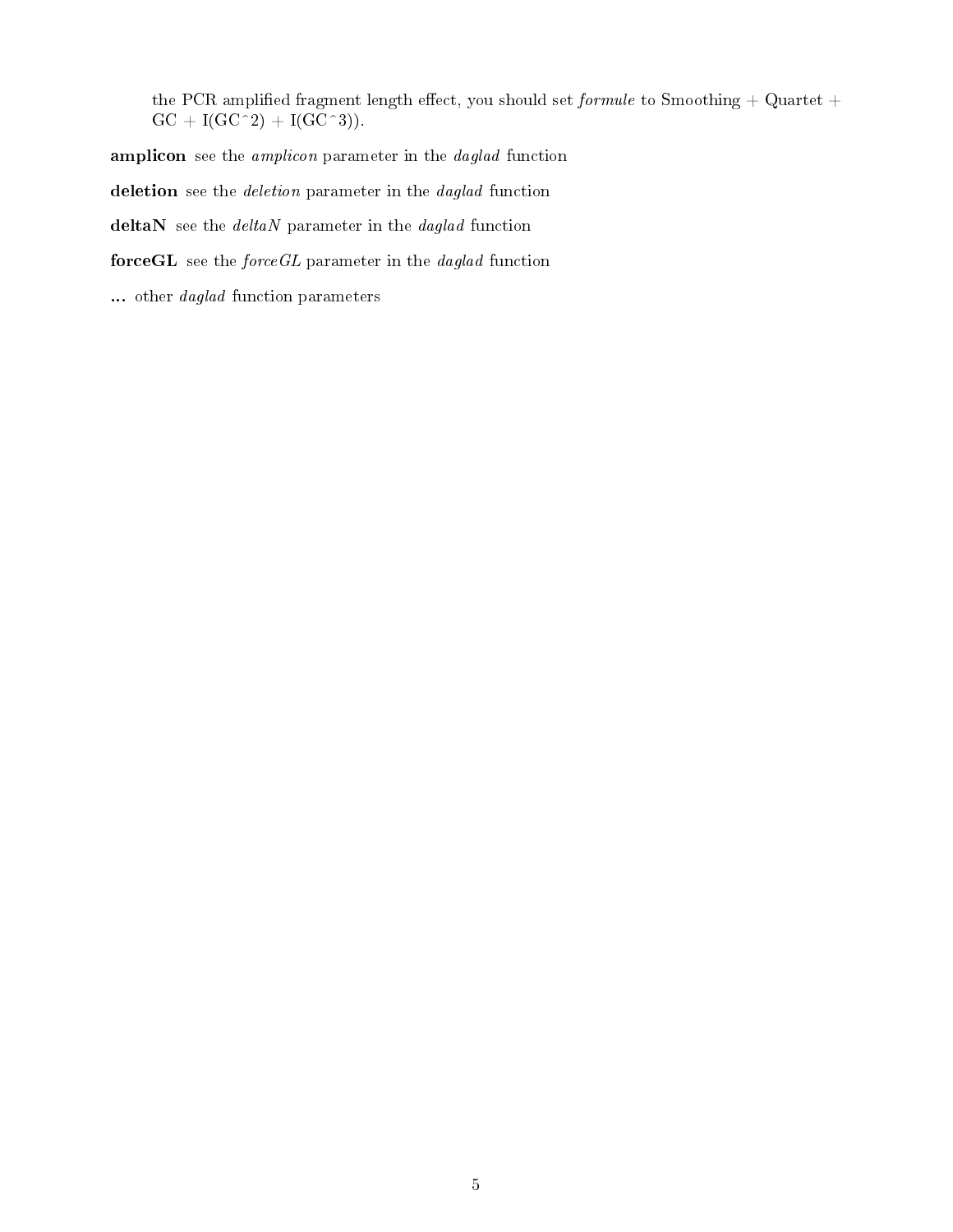the PCR amplified fragment length effect, you should set *formule* to Smoothing + Quartet +  $GC + I(GC^2) + I(GC^3)$ .

amplicon see the *amplicon* parameter in the *daglad* function

deletion see the *deletion* parameter in the *daglad* function

deltaN see the  $deltaN$  parameter in the daglad function

force $GL$  see the *forceGL* parameter in the *daglad* function

... other *daglad* function parameters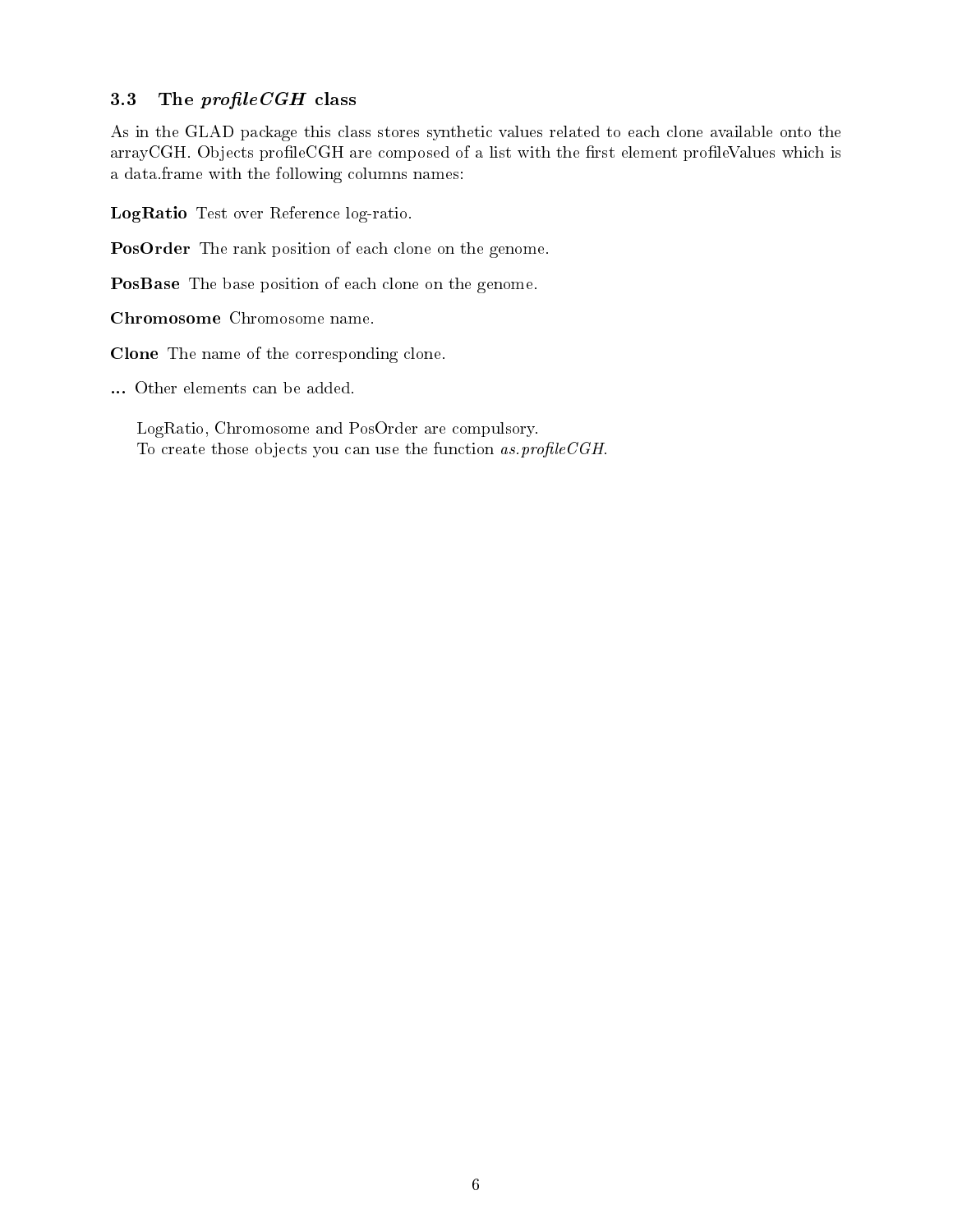### <span id="page-5-0"></span>3.3 The  $profileCGH$  class

As in the GLAD package this class stores synthetic values related to each clone available onto the arrayCGH. Objects profileCGH are composed of a list with the first element profileValues which is a data.frame with the following columns names:

LogRatio Test over Reference log-ratio.

PosOrder The rank position of each clone on the genome.

PosBase The base position of each clone on the genome.

Chromosome Chromosome name.

Clone The name of the corresponding clone.

... Other elements can be added.

LogRatio, Chromosome and PosOrder are compulsory. To create those objects you can use the function  $as.profile CGH.$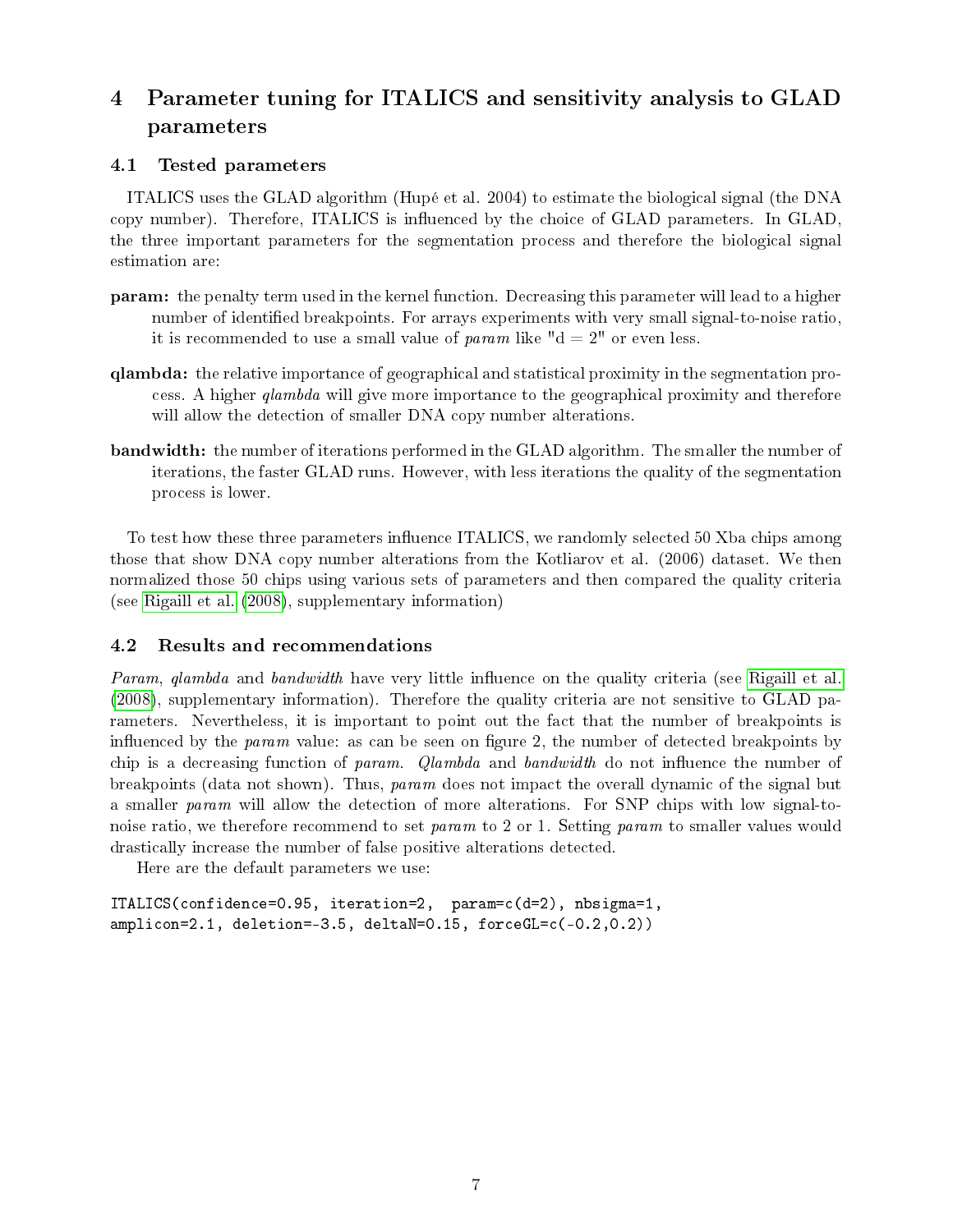# <span id="page-6-0"></span>4 Parameter tuning for ITALICS and sensitivity analysis to GLAD parameters

### <span id="page-6-1"></span>4.1 Tested parameters

ITALICS uses the GLAD algorithm (Hupé et al. 2004) to estimate the biological signal (the DNA copy number). Therefore, ITALICS is influenced by the choice of GLAD parameters. In GLAD, the three important parameters for the segmentation process and therefore the biological signal estimation are:

- param: the penalty term used in the kernel function. Decreasing this parameter will lead to a higher number of identified breakpoints. For arrays experiments with very small signal-to-noise ratio, it is recommended to use a small value of param like " $d = 2$ " or even less.
- qlambda: the relative importance of geographical and statistical proximity in the segmentation process. A higher qlambda will give more importance to the geographical proximity and therefore will allow the detection of smaller DNA copy number alterations.
- bandwidth: the number of iterations performed in the GLAD algorithm. The smaller the number of iterations, the faster GLAD runs. However, with less iterations the quality of the segmentation process is lower.

To test how these three parameters influence ITALICS, we randomly selected 50 Xba chips among those that show DNA copy number alterations from the Kotliarov et al. (2006) dataset. We then normalized those 50 chips using various sets of parameters and then compared the quality criteria (see [Rigaill et al.](#page-8-1) [\(2008\)](#page-8-1), supplementary information)

### <span id="page-6-2"></span>4.2 Results and recommendations

Param, glambda and bandwidth have very little influence on the quality criteria (see [Rigaill et al.](#page-8-1) [\(2008\)](#page-8-1), supplementary information). Therefore the quality criteria are not sensitive to GLAD parameters. Nevertheless, it is important to point out the fact that the number of breakpoints is influenced by the *param* value: as can be seen on figure 2, the number of detected breakpoints by chip is a decreasing function of param. Qlambda and bandwidth do not influence the number of breakpoints (data not shown). Thus, param does not impact the overall dynamic of the signal but a smaller param will allow the detection of more alterations. For SNP chips with low signal-tonoise ratio, we therefore recommend to set param to 2 or 1. Setting param to smaller values would drastically increase the number of false positive alterations detected.

Here are the default parameters we use:

```
ITALICS(confidence=0.95, iteration=2, param=c(d=2), nbsigma=1,
amplicon=2.1, deletion=-3.5, deltaN=0.15, forceGL=c(-0.2,0.2))
```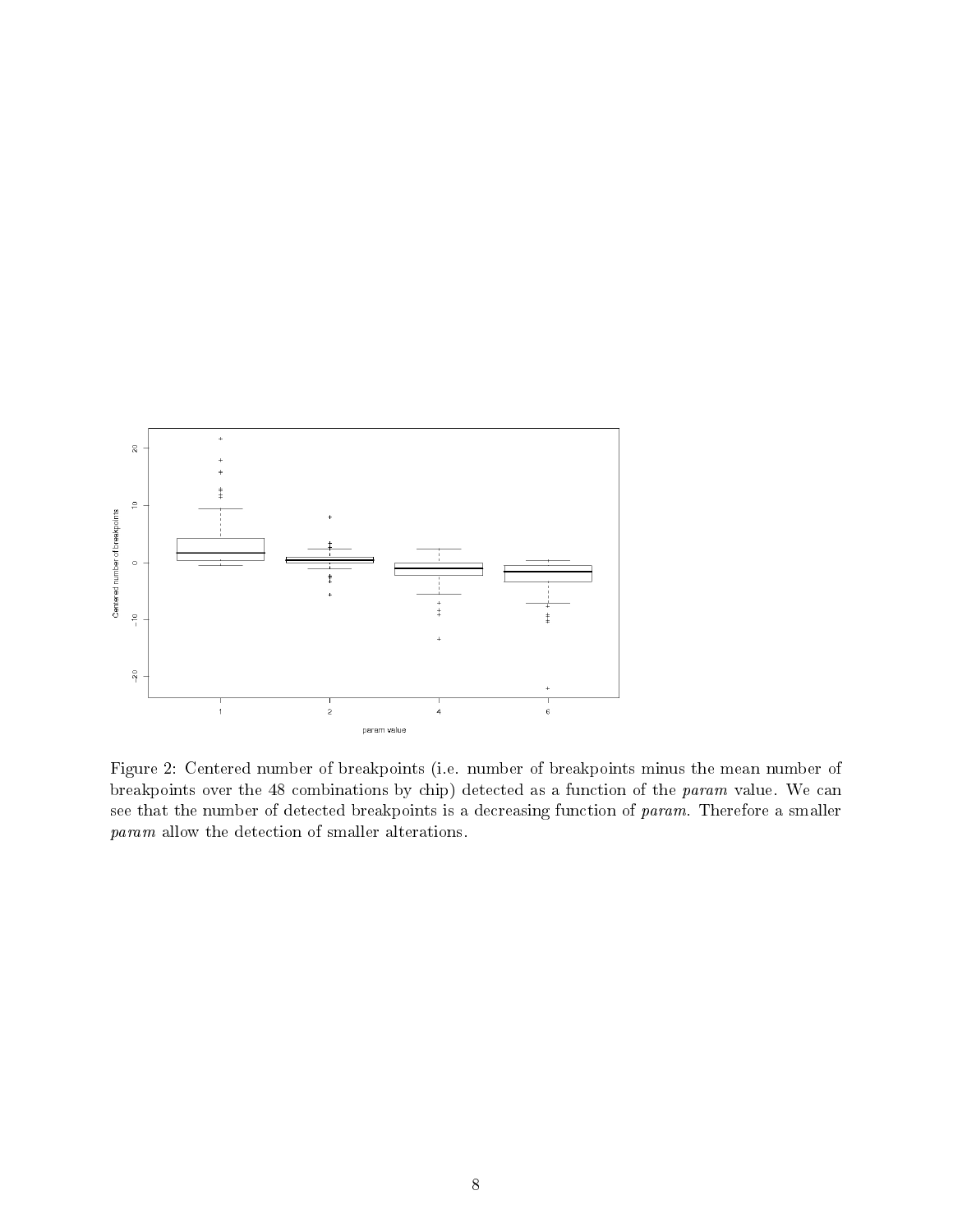

<span id="page-7-0"></span>Figure 2: Centered number of breakpoints (i.e. number of breakpoints minus the mean number of breakpoints over the 48 combinations by chip) detected as a function of the param value. We can see that the number of detected breakpoints is a decreasing function of param. Therefore a smaller param allow the detection of smaller alterations.